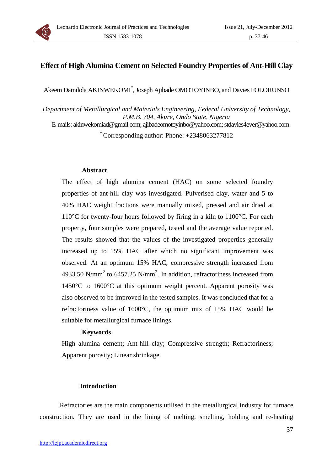

# **Effect of High Alumina Cement on Selected Foundry Properties of Ant-Hill Clay**

Akeem Damilola AKINWEKOMI\* , Joseph Ajibade OMOTOYINBO, and Davies FOLORUNSO

*Department of Metallurgical and Materials Engineering, Federal University of Technology, P.M.B. 704, Akure, Ondo State, Nigeria* 

E-mails: akinwekomiad@gmail.com; ajibadeomotoyinbo@yahoo.com; stdavies4ever@yahoo.com

\* Corresponding author: Phone: +2348063277812

### **Abstract**

The effect of high alumina cement (HAC) on some selected foundry properties of ant-hill clay was investigated. Pulverised clay, water and 5 to 40% HAC weight fractions were manually mixed, pressed and air dried at 110°C for twenty-four hours followed by firing in a kiln to 1100°C. For each property, four samples were prepared, tested and the average value reported. The results showed that the values of the investigated properties generally increased up to 15% HAC after which no significant improvement was observed. At an optimum 15% HAC, compressive strength increased from 4933.50 N/mm<sup>2</sup> to 6457.25 N/mm<sup>2</sup>. In addition, refractoriness increased from 1450°C to 1600°C at this optimum weight percent. Apparent porosity was also observed to be improved in the tested samples. It was concluded that for a refractoriness value of 1600°C, the optimum mix of 15% HAC would be suitable for metallurgical furnace linings.

### **Keywords**

High alumina cement; Ant-hill clay; Compressive strength; Refractoriness; Apparent porosity; Linear shrinkage.

### **Introduction**

Refractories are the main components utilised in the metallurgical industry for furnace construction. They are used in the lining of melting, smelting, holding and re-heating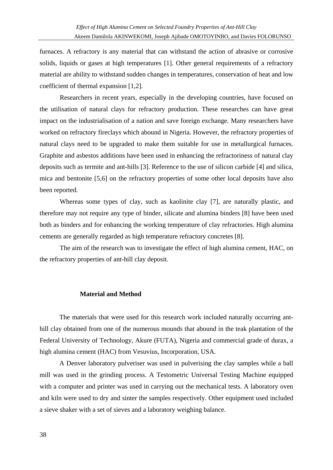furnaces. A refractory is any material that can withstand the action of abrasive or corrosive solids, liquids or gases at high temperatures [1]. Other general requirements of a refractory material are ability to withstand sudden changes in temperatures, conservation of heat and low coefficient of thermal expansion [1,2].

Researchers in recent years, especially in the developing countries, have focused on the utilisation of natural clays for refractory production. These researches can have great impact on the industrialisation of a nation and save foreign exchange. Many researchers have worked on refractory fireclays which abound in Nigeria. However, the refractory properties of natural clays need to be upgraded to make them suitable for use in metallurgical furnaces. Graphite and asbestos additions have been used in enhancing the refractoriness of natural clay deposits such as termite and ant-hills [3]. Reference to the use of silicon carbide [4] and silica, mica and bentonite [5,6] on the refractory properties of some other local deposits have also been reported.

Whereas some types of clay, such as kaolinite clay [7], are naturally plastic, and therefore may not require any type of binder, silicate and alumina binders [8] have been used both as binders and for enhancing the working temperature of clay refractories. High alumina cements are generally regarded as high temperature refractory concretes [8].

The aim of the research was to investigate the effect of high alumina cement, HAC, on the refractory properties of ant-hill clay deposit.

#### **Material and Method**

The materials that were used for this research work included naturally occurring anthill clay obtained from one of the numerous mounds that abound in the teak plantation of the Federal University of Technology, Akure (FUTA), Nigeria and commercial grade of durax, a high alumina cement (HAC) from Vesuvius, Incorporation, USA.

A Denver laboratory pulveriser was used in pulverising the clay samples while a ball mill was used in the grinding process. A Testometric Universal Testing Machine equipped with a computer and printer was used in carrying out the mechanical tests. A laboratory oven and kiln were used to dry and sinter the samples respectively. Other equipment used included a sieve shaker with a set of sieves and a laboratory weighing balance.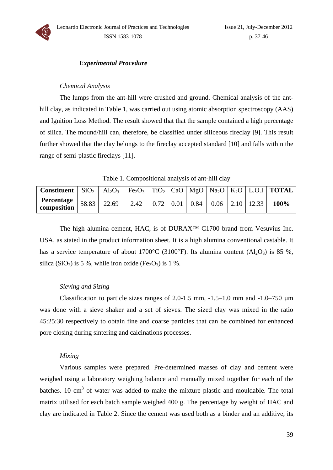# *Experimental Procedure*

## *Chemical Analysis*

The lumps from the ant-hill were crushed and ground. Chemical analysis of the anthill clay, as indicated in Table 1, was carried out using atomic absorption spectroscopy (AAS) and Ignition Loss Method. The result showed that that the sample contained a high percentage of silica. The mound/hill can, therefore, be classified under siliceous fireclay [9]. This result further showed that the clay belongs to the fireclay accepted standard [10] and falls within the range of semi-plastic fireclays [11].

Table 1. Compositional analysis of ant-hill clay

| <b>Constituent</b>             | $\mid$ SiO <sub>2</sub> | $Al_2O_3$ |      |             |      |               |  | $Fe2O3$   TiO <sub>2</sub>   CaO   MgO   Na <sub>2</sub> O   K <sub>2</sub> O   L.O.I   <b>TOTAL</b> |
|--------------------------------|-------------------------|-----------|------|-------------|------|---------------|--|------------------------------------------------------------------------------------------------------|
| Percentage $\Big  58.83 \Big $ |                         | 22.69     | 2.42 | $\mid$ 0.01 | 0.84 | $0.06$   2.10 |  | 100%                                                                                                 |

The high alumina cement, HAC, is of DURAX<sup>™</sup> C1700 brand from Vesuvius Inc. USA, as stated in the product information sheet. It is a high alumina conventional castable. It has a service temperature of about 1700°C (3100°F). Its alumina content (Al<sub>2</sub>O<sub>3</sub>) is 85 %, silica (SiO<sub>2</sub>) is 5 %, while iron oxide (Fe<sub>2</sub>O<sub>3</sub>) is 1 %.

## *Sieving and Sizing*

Classification to particle sizes ranges of 2.0-1.5 mm,  $-1.5-1.0$  mm and  $-1.0-750 \mu m$ was done with a sieve shaker and a set of sieves. The sized clay was mixed in the ratio 45:25:30 respectively to obtain fine and coarse particles that can be combined for enhanced pore closing during sintering and calcinations processes.

## *Mixing*

Various samples were prepared. Pre-determined masses of clay and cement were weighed using a laboratory weighing balance and manually mixed together for each of the batches. 10  $\text{cm}^3$  of water was added to make the mixture plastic and mouldable. The total matrix utilised for each batch sample weighed 400 g. The percentage by weight of HAC and clay are indicated in Table 2. Since the cement was used both as a binder and an additive, its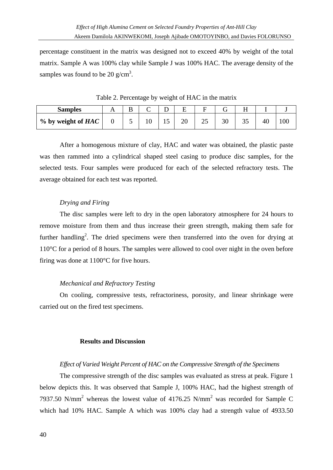percentage constituent in the matrix was designed not to exceed 40% by weight of the total matrix. Sample A was 100% clay while Sample J was 100% HAC. The average density of the samples was found to be 20  $g/cm<sup>3</sup>$ .

| <b>Samples</b>     | IJ. |  |   |   |    |  |
|--------------------|-----|--|---|---|----|--|
| % by weight of HAC |     |  | ت | ັ | ДΙ |  |

Table 2. Percentage by weight of HAC in the matrix

After a homogenous mixture of clay, HAC and water was obtained, the plastic paste was then rammed into a cylindrical shaped steel casing to produce disc samples, for the selected tests. Four samples were produced for each of the selected refractory tests. The average obtained for each test was reported.

# *Drying and Firing*

The disc samples were left to dry in the open laboratory atmosphere for 24 hours to remove moisture from them and thus increase their green strength, making them safe for further handling<sup>2</sup>. The dried specimens were then transferred into the oven for drying at 110°C for a period of 8 hours. The samples were allowed to cool over night in the oven before firing was done at 1100°C for five hours.

# *Mechanical and Refractory Testing*

On cooling, compressive tests, refractoriness, porosity, and linear shrinkage were carried out on the fired test specimens.

## **Results and Discussion**

# *Effect of Varied Weight Percent of HAC on the Compressive Strength of the Specimens*

The compressive strength of the disc samples was evaluated as stress at peak. Figure 1 below depicts this. It was observed that Sample J, 100% HAC, had the highest strength of 7937.50 N/mm<sup>2</sup> whereas the lowest value of 4176.25 N/mm<sup>2</sup> was recorded for Sample C which had 10% HAC. Sample A which was 100% clay had a strength value of 4933.50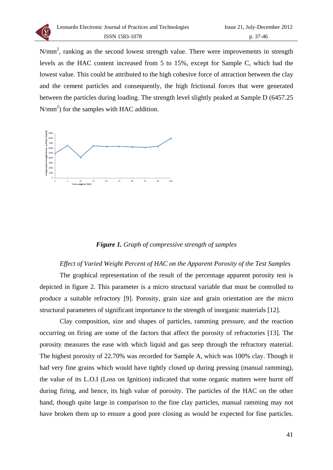

 $N/mm<sup>2</sup>$ , ranking as the second lowest strength value. There were improvements in strength levels as the HAC content increased from 5 to 15%, except for Sample C, which had the lowest value. This could be attributed to the high cohesive force of attraction between the clay and the cement particles and consequently, the high frictional forces that were generated between the particles during loading. The strength level slightly peaked at Sample D (6457.25  $N/mm<sup>2</sup>$ ) for the samples with HAC addition.



## *Figure 1. Graph of compressive strength of samples*

### *Effect of Varied Weight Percent of HAC on the Apparent Porosity of the Test Samples*

The graphical representation of the result of the percentage apparent porosity test is depicted in figure 2. This parameter is a micro structural variable that must be controlled to produce a suitable refractory [9]. Porosity, grain size and grain orientation are the micro structural parameters of significant importance to the strength of inorganic materials [12].

Clay composition, size and shapes of particles, ramming pressure, and the reaction occurring on firing are some of the factors that affect the porosity of refractories [13]. The porosity measures the ease with which liquid and gas seep through the refractory material. The highest porosity of 22.70% was recorded for Sample A, which was 100% clay. Though it had very fine grains which would have tightly closed up during pressing (manual ramming), the value of its L.O.I (Loss on Ignition) indicated that some organic matters were burnt off during firing, and hence, its high value of porosity. The particles of the HAC on the other hand, though quite large in comparison to the fine clay particles, manual ramming may not have broken them up to ensure a good pore closing as would be expected for fine particles.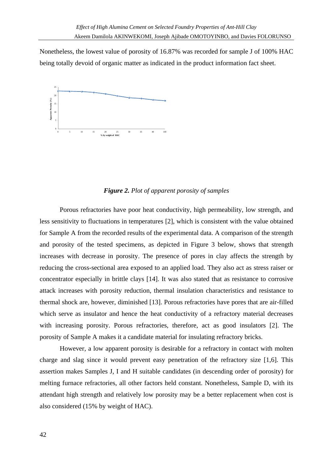Nonetheless, the lowest value of porosity of 16.87% was recorded for sample J of 100% HAC being totally devoid of organic matter as indicated in the product information fact sheet.



## *Figure 2. Plot of apparent porosity of samples*

Porous refractories have poor heat conductivity, high permeability, low strength, and less sensitivity to fluctuations in temperatures [2], which is consistent with the value obtained for Sample A from the recorded results of the experimental data. A comparison of the strength and porosity of the tested specimens, as depicted in Figure 3 below, shows that strength increases with decrease in porosity. The presence of pores in clay affects the strength by reducing the cross-sectional area exposed to an applied load. They also act as stress raiser or concentrator especially in brittle clays [14]. It was also stated that as resistance to corrosive attack increases with porosity reduction, thermal insulation characteristics and resistance to thermal shock are, however, diminished [13]. Porous refractories have pores that are air-filled which serve as insulator and hence the heat conductivity of a refractory material decreases with increasing porosity. Porous refractories, therefore, act as good insulators [2]. The porosity of Sample A makes it a candidate material for insulating refractory bricks.

However, a low apparent porosity is desirable for a refractory in contact with molten charge and slag since it would prevent easy penetration of the refractory size [1,6]. This assertion makes Samples J, I and H suitable candidates (in descending order of porosity) for melting furnace refractories, all other factors held constant. Nonetheless, Sample D, with its attendant high strength and relatively low porosity may be a better replacement when cost is also considered (15% by weight of HAC).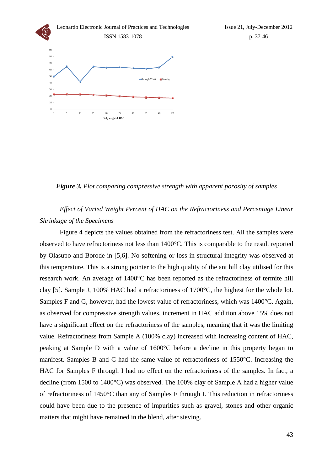

Leonardo Electronic Journal of Practices and Technologies ISSN 1583-1078

*Figure 3. Plot comparing compressive strength with apparent porosity of samples*

*Effect of Varied Weight Percent of HAC on the Refractoriness and Percentage Linear Shrinkage of the Specimens* 

Figure 4 depicts the values obtained from the refractoriness test. All the samples were observed to have refractoriness not less than 1400°C. This is comparable to the result reported by Olasupo and Borode in [5,6]. No softening or loss in structural integrity was observed at this temperature. This is a strong pointer to the high quality of the ant hill clay utilised for this research work. An average of 1400°C has been reported as the refractoriness of termite hill clay [5]. Sample J, 100% HAC had a refractoriness of 1700°C, the highest for the whole lot. Samples F and G, however, had the lowest value of refractoriness, which was 1400°C. Again, as observed for compressive strength values, increment in HAC addition above 15% does not have a significant effect on the refractoriness of the samples, meaning that it was the limiting value. Refractoriness from Sample A (100% clay) increased with increasing content of HAC, peaking at Sample D with a value of 1600°C before a decline in this property began to manifest. Samples B and C had the same value of refractoriness of 1550°C. Increasing the HAC for Samples F through I had no effect on the refractoriness of the samples. In fact, a decline (from 1500 to 1400°C) was observed. The 100% clay of Sample A had a higher value of refractoriness of 1450°C than any of Samples F through I. This reduction in refractoriness could have been due to the presence of impurities such as gravel, stones and other organic matters that might have remained in the blend, after sieving.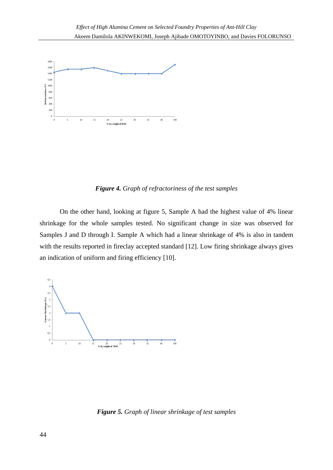

*Figure 4. Graph of refractoriness of the test samples*

On the other hand, looking at figure 5, Sample A had the highest value of 4% linear shrinkage for the whole samples tested. No significant change in size was observed for Samples J and D through I. Sample A which had a linear shrinkage of 4% is also in tandem with the results reported in fireclay accepted standard [12]. Low firing shrinkage always gives an indication of uniform and firing efficiency [10].



*Figure 5. Graph of linear shrinkage of test samples*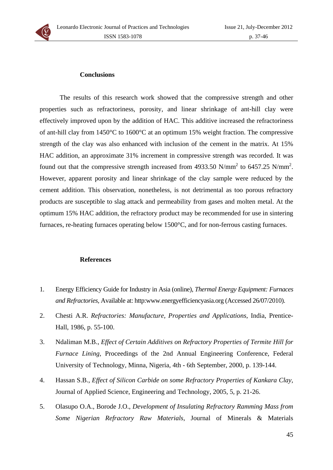

#### **Conclusions**

The results of this research work showed that the compressive strength and other properties such as refractoriness, porosity, and linear shrinkage of ant-hill clay were effectively improved upon by the addition of HAC. This additive increased the refractoriness of ant-hill clay from 1450°C to 1600°C at an optimum 15% weight fraction. The compressive strength of the clay was also enhanced with inclusion of the cement in the matrix. At 15% HAC addition, an approximate 31% increment in compressive strength was recorded. It was found out that the compressive strength increased from 4933.50 N/mm<sup>2</sup> to 6457.25 N/mm<sup>2</sup>. However, apparent porosity and linear shrinkage of the clay sample were reduced by the cement addition. This observation, nonetheless, is not detrimental as too porous refractory products are susceptible to slag attack and permeability from gases and molten metal. At the optimum 15% HAC addition, the refractory product may be recommended for use in sintering furnaces, re-heating furnaces operating below 1500°C, and for non-ferrous casting furnaces.

#### **References**

- 1. Energy Efficiency Guide for Industry in Asia (online), *Thermal Energy Equipment: Furnaces and Refractories,* Available at: http:www.energyefficiencyasia.org (Accessed 26/07/2010).
- 2. Chesti A.R. *Refractories: Manufacture, Properties and Applications*, India, Prentice-Hall, 1986, p. 55-100.
- 3. Ndaliman M.B., *Effect of Certain Additives on Refractory Properties of Termite Hill for Furnace Lining,* Proceedings of the 2nd Annual Engineering Conference, Federal University of Technology, Minna, Nigeria, 4th - 6th September, 2000, p. 139-144.
- 4. Hassan S.B., *Effect of Silicon Carbide on some Refractory Properties of Kankara Clay,* Journal of Applied Science, Engineering and Technology, 2005, 5, p. 21-26.
- 5. Olasupo O.A., Borode J.O., *Development of Insulating Refractory Ramming Mass from Some Nigerian Refractory Raw Materials*, Journal of Minerals & Materials